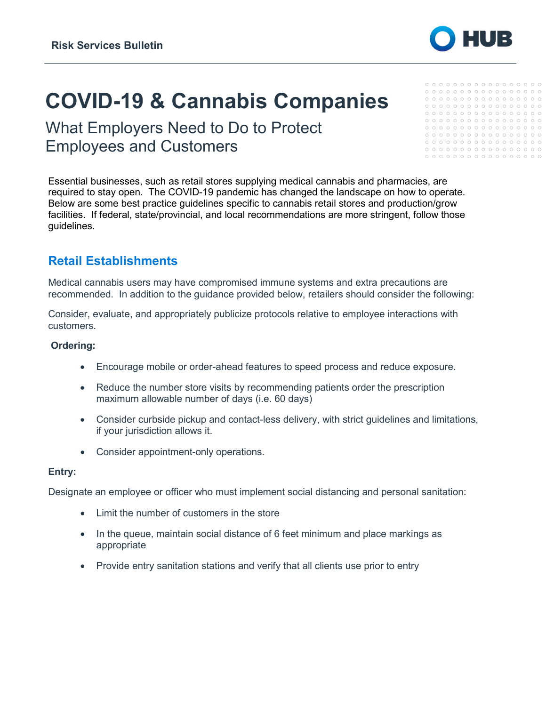

# **COVID-19 & Cannabis Companies**

What Employers Need to Do to Protect Employees and Customers

 $00000000000000000000$  $00000000000000000000$ 

Essential businesses, such as retail stores supplying medical cannabis and pharmacies, are required to stay open. The COVID-19 pandemic has changed the landscape on how to operate. Below are some best practice guidelines specific to cannabis retail stores and production/grow facilities. If federal, state/provincial, and local recommendations are more stringent, follow those guidelines.

# **Retail Establishments**

Medical cannabis users may have compromised immune systems and extra precautions are recommended. In addition to the guidance provided below, retailers should consider the following:

Consider, evaluate, and appropriately publicize protocols relative to employee interactions with customers.

### **Ordering:**

- Encourage mobile or order-ahead features to speed process and reduce exposure.
- Reduce the number store visits by recommending patients order the prescription maximum allowable number of days (i.e. 60 days)
- Consider curbside pickup and contact-less delivery, with strict guidelines and limitations, if your jurisdiction allows it.
- Consider appointment-only operations.

### **Entry:**

Designate an employee or officer who must implement social distancing and personal sanitation:

- Limit the number of customers in the store
- In the queue, maintain social distance of 6 feet minimum and place markings as appropriate
- Provide entry sanitation stations and verify that all clients use prior to entry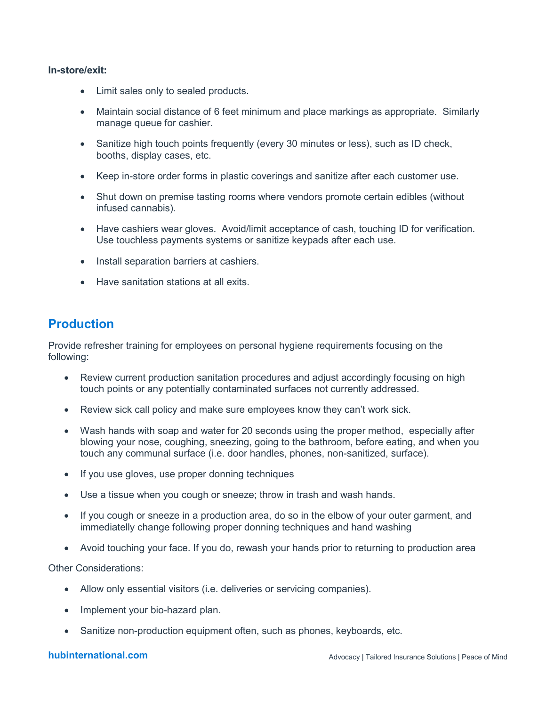#### **In-store/exit:**

- Limit sales only to sealed products.
- Maintain social distance of 6 feet minimum and place markings as appropriate. Similarly manage queue for cashier.
- Sanitize high touch points frequently (every 30 minutes or less), such as ID check, booths, display cases, etc.
- Keep in-store order forms in plastic coverings and sanitize after each customer use.
- Shut down on premise tasting rooms where vendors promote certain edibles (without infused cannabis).
- Have cashiers wear gloves. Avoid/limit acceptance of cash, touching ID for verification. Use touchless payments systems or sanitize keypads after each use.
- Install separation barriers at cashiers.
- Have sanitation stations at all exits.

## **Production**

Provide refresher training for employees on personal hygiene requirements focusing on the following:

- Review current production sanitation procedures and adjust accordingly focusing on high touch points or any potentially contaminated surfaces not currently addressed.
- Review sick call policy and make sure employees know they can't work sick.
- Wash hands with soap and water for 20 seconds using the proper method, especially after blowing your nose, coughing, sneezing, going to the bathroom, before eating, and when you touch any communal surface (i.e. door handles, phones, non-sanitized, surface).
- If you use gloves, use proper donning techniques
- Use a tissue when you cough or sneeze; throw in trash and wash hands.
- If you cough or sneeze in a production area, do so in the elbow of your outer garment, and immediatelly change following proper donning techniques and hand washing
- Avoid touching your face. If you do, rewash your hands prior to returning to production area

Other Considerations:

- Allow only essential visitors (i.e. deliveries or servicing companies).
- Implement your bio-hazard plan.
- Sanitize non-production equipment often, such as phones, keyboards, etc.